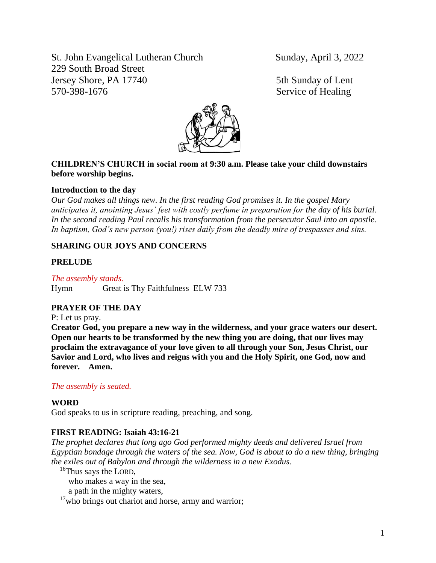St. John Evangelical Lutheran Church Sunday, April 3, 2022 229 South Broad Street Jersey Shore, PA 17740 5th Sunday of Lent 570-398-1676 Service of Healing



# **CHILDREN'S CHURCH in social room at 9:30 a.m. Please take your child downstairs before worship begins.**

# **Introduction to the day**

*Our God makes all things new. In the first reading God promises it. In the gospel Mary anticipates it, anointing Jesus' feet with costly perfume in preparation for the day of his burial. In the second reading Paul recalls his transformation from the persecutor Saul into an apostle. In baptism, God's new person (you!) rises daily from the deadly mire of trespasses and sins.*

# **SHARING OUR JOYS AND CONCERNS**

# **PRELUDE**

*The assembly stands.* Hymn Great is Thy Faithfulness ELW 733

# **PRAYER OF THE DAY**

P: Let us pray.

**Creator God, you prepare a new way in the wilderness, and your grace waters our desert. Open our hearts to be transformed by the new thing you are doing, that our lives may proclaim the extravagance of your love given to all through your Son, Jesus Christ, our Savior and Lord, who lives and reigns with you and the Holy Spirit, one God, now and forever. Amen.**

### *The assembly is seated.*

### **WORD**

God speaks to us in scripture reading, preaching, and song.

# **FIRST READING: Isaiah 43:16-21**

*The prophet declares that long ago God performed mighty deeds and delivered Israel from Egyptian bondage through the waters of the sea. Now, God is about to do a new thing, bringing the exiles out of Babylon and through the wilderness in a new Exodus.*

<sup>16</sup>Thus says the LORD,

who makes a way in the sea,

a path in the mighty waters,

 $17$ who brings out chariot and horse, army and warrior;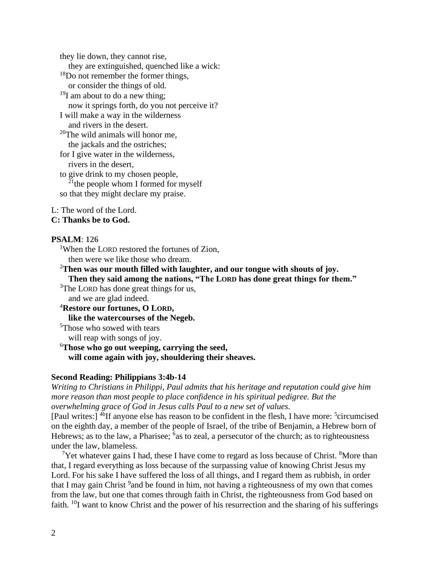they lie down, they cannot rise, they are extinguished, quenched like a wick: <sup>18</sup>Do not remember the former things, or consider the things of old.  $19I$  am about to do a new thing; now it springs forth, do you not perceive it? I will make a way in the wilderness and rivers in the desert.  $20$ The wild animals will honor me, the jackals and the ostriches; for I give water in the wilderness, rivers in the desert, to give drink to my chosen people,  $21$ <sup>the people whom I formed for myself</sup> so that they might declare my praise.

L: The word of the Lord.

#### **C: Thanks be to God.**

#### **PSALM**: **126**

<sup>1</sup>When the LORD restored the fortunes of Zion. then were we like those who dream.

<sup>2</sup>**Then was our mouth filled with laughter, and our tongue with shouts of joy. Then they said among the nations, "The LORD has done great things for them."**

<sup>3</sup>The LORD has done great things for us, and we are glad indeed.

<sup>4</sup>**Restore our fortunes, O LORD,**

**like the watercourses of the Negeb.**

<sup>5</sup>Those who sowed with tears

will reap with songs of joy.

<sup>6</sup>**Those who go out weeping, carrying the seed, will come again with joy, shouldering their sheaves.**

#### **Second Reading: Philippians 3:4b-14**

*Writing to Christians in Philippi, Paul admits that his heritage and reputation could give him more reason than most people to place confidence in his spiritual pedigree. But the overwhelming grace of God in Jesus calls Paul to a new set of values.*

[Paul writes:] <sup>4b</sup>If anyone else has reason to be confident in the flesh, I have more: <sup>5</sup>circumcised on the eighth day, a member of the people of Israel, of the tribe of Benjamin, a Hebrew born of Hebrews; as to the law, a Pharisee;  $6a$ s to zeal, a persecutor of the church; as to righteousness under the law, blameless.

<sup>7</sup>Yet whatever gains I had, these I have come to regard as loss because of Christ.  ${}^{8}$ More than that, I regard everything as loss because of the surpassing value of knowing Christ Jesus my Lord. For his sake I have suffered the loss of all things, and I regard them as rubbish, in order that I may gain Christ <sup>9</sup> and be found in him, not having a righteousness of my own that comes from the law, but one that comes through faith in Christ, the righteousness from God based on faith. <sup>10</sup>I want to know Christ and the power of his resurrection and the sharing of his sufferings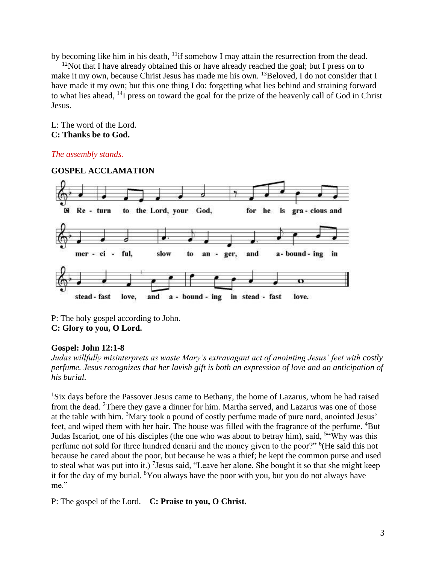by becoming like him in his death, <sup>11</sup>if somehow I may attain the resurrection from the dead.

 $12$ Not that I have already obtained this or have already reached the goal; but I press on to make it my own, because Christ Jesus has made me his own.  $^{13}$ Beloved, I do not consider that I have made it my own; but this one thing I do: forgetting what lies behind and straining forward to what lies ahead, <sup>14</sup>I press on toward the goal for the prize of the heavenly call of God in Christ Jesus.

### L: The word of the Lord. **C: Thanks be to God.**

# *The assembly stands.*



P: The holy gospel according to John. **C: Glory to you, O Lord.**

# **Gospel: John 12:1-8**

*Judas willfully misinterprets as waste Mary's extravagant act of anointing Jesus' feet with costly perfume. Jesus recognizes that her lavish gift is both an expression of love and an anticipation of his burial.*

<sup>1</sup>Six days before the Passover Jesus came to Bethany, the home of Lazarus, whom he had raised from the dead. <sup>2</sup>There they gave a dinner for him. Martha served, and Lazarus was one of those at the table with him. <sup>3</sup>Mary took a pound of costly perfume made of pure nard, anointed Jesus' feet, and wiped them with her hair. The house was filled with the fragrance of the perfume. <sup>4</sup>But Judas Iscariot, one of his disciples (the one who was about to betray him), said, <sup>5"</sup>Why was this perfume not sold for three hundred denarii and the money given to the poor?" <sup>6</sup>(He said this not because he cared about the poor, but because he was a thief; he kept the common purse and used to steal what was put into it.) <sup>7</sup> Jesus said, "Leave her alone. She bought it so that she might keep it for the day of my burial. <sup>8</sup>You always have the poor with you, but you do not always have me."

P: The gospel of the Lord. **C: Praise to you, O Christ.**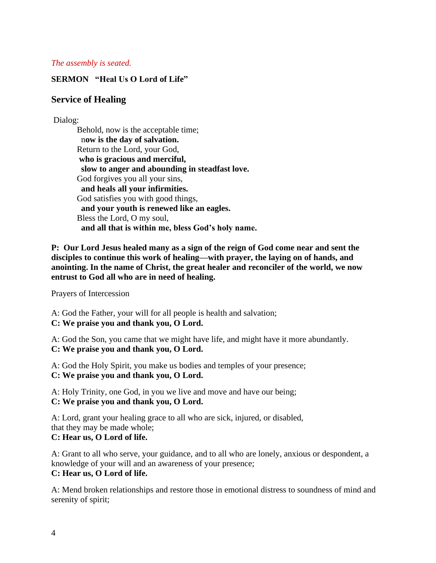### *The assembly is seated.*

# **SERMON "Heal Us O Lord of Life"**

# **Service of Healing**

### Dialog:

Behold, now is the acceptable time; n**ow is the day of salvation.** Return to the Lord, your God, **who is gracious and merciful, slow to anger and abounding in steadfast love.** God forgives you all your sins, **and heals all your infirmities.** God satisfies you with good things, **and your youth is renewed like an eagles.** Bless the Lord, O my soul, **and all that is within me, bless God's holy name.**

**P: Our Lord Jesus healed many as a sign of the reign of God come near and sent the disciples to continue this work of healing—with prayer, the laying on of hands, and anointing. In the name of Christ, the great healer and reconciler of the world, we now entrust to God all who are in need of healing.**

Prayers of Intercession

A: God the Father, your will for all people is health and salvation; **C: We praise you and thank you, O Lord.**

A: God the Son, you came that we might have life, and might have it more abundantly. **C: We praise you and thank you, O Lord.**

A: God the Holy Spirit, you make us bodies and temples of your presence; **C: We praise you and thank you, O Lord.**

A: Holy Trinity, one God, in you we live and move and have our being; **C: We praise you and thank you, O Lord.**

A: Lord, grant your healing grace to all who are sick, injured, or disabled, that they may be made whole;

### **C: Hear us, O Lord of life.**

A: Grant to all who serve, your guidance, and to all who are lonely, anxious or despondent, a knowledge of your will and an awareness of your presence; **C: Hear us, O Lord of life.**

A: Mend broken relationships and restore those in emotional distress to soundness of mind and serenity of spirit;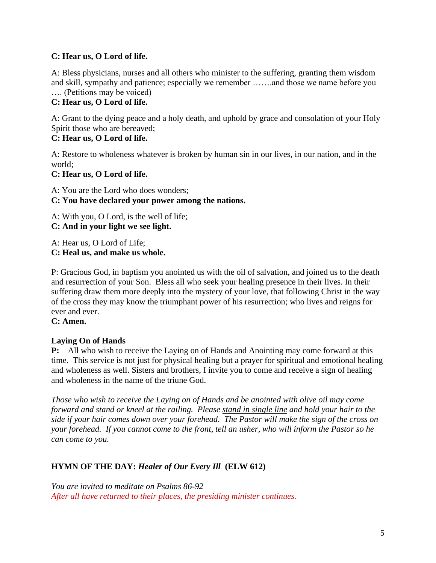# **C: Hear us, O Lord of life.**

A: Bless physicians, nurses and all others who minister to the suffering, granting them wisdom and skill, sympathy and patience; especially we remember …….and those we name before you …. (Petitions may be voiced)

# **C: Hear us, O Lord of life.**

A: Grant to the dying peace and a holy death, and uphold by grace and consolation of your Holy Spirit those who are bereaved;

# **C: Hear us, O Lord of life.**

A: Restore to wholeness whatever is broken by human sin in our lives, in our nation, and in the world;

# **C: Hear us, O Lord of life.**

A: You are the Lord who does wonders;

# **C: You have declared your power among the nations.**

A: With you, O Lord, is the well of life;

**C: And in your light we see light.**

A: Hear us, O Lord of Life;

**C: Heal us, and make us whole.**

P: Gracious God, in baptism you anointed us with the oil of salvation, and joined us to the death and resurrection of your Son. Bless all who seek your healing presence in their lives. In their suffering draw them more deeply into the mystery of your love, that following Christ in the way of the cross they may know the triumphant power of his resurrection; who lives and reigns for ever and ever.

# **C: Amen.**

# **Laying On of Hands**

**P:** All who wish to receive the Laying on of Hands and Anointing may come forward at this time. This service is not just for physical healing but a prayer for spiritual and emotional healing and wholeness as well. Sisters and brothers, I invite you to come and receive a sign of healing and wholeness in the name of the triune God.

*Those who wish to receive the Laying on of Hands and be anointed with olive oil may come forward and stand or kneel at the railing. Please stand in single line and hold your hair to the side if your hair comes down over your forehead. The Pastor will make the sign of the cross on your forehead. If you cannot come to the front, tell an usher, who will inform the Pastor so he can come to you.*

# **HYMN OF THE DAY:** *Healer of Our Every Ill* **(ELW 612)**

*You are invited to meditate on Psalms 86-92 After all have returned to their places, the presiding minister continues.*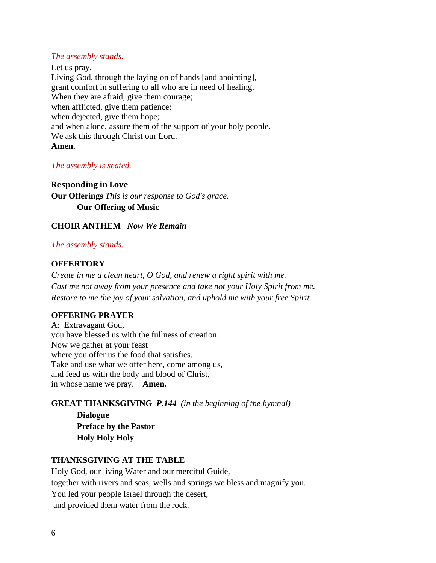### *The assembly stands.*

Let us pray. Living God, through the laying on of hands [and anointing], grant comfort in suffering to all who are in need of healing. When they are afraid, give them courage; when afflicted, give them patience; when dejected, give them hope; and when alone, assure them of the support of your holy people. We ask this through Christ our Lord. **Amen.**

#### *The assembly is seated.*

#### **Responding in Love**

**Our Offerings** *This is our response to God's grace.* **Our Offering of Music** 

### **CHOIR ANTHEM** *Now We Remain*

#### *The assembly stands.*

### **OFFERTORY**

*Create in me a clean heart, O God, and renew a right spirit with me. Cast me not away from your presence and take not your Holy Spirit from me. Restore to me the joy of your salvation, and uphold me with your free Spirit.*

#### **OFFERING PRAYER**

A: Extravagant God, you have blessed us with the fullness of creation. Now we gather at your feast where you offer us the food that satisfies. Take and use what we offer here, come among us, and feed us with the body and blood of Christ, in whose name we pray. **Amen.**

### **GREAT THANKSGIVING** *P.144 (in the beginning of the hymnal)*

**Dialogue Preface by the Pastor Holy Holy Holy**

### **THANKSGIVING AT THE TABLE**

Holy God, our living Water and our merciful Guide, together with rivers and seas, wells and springs we bless and magnify you. You led your people Israel through the desert, and provided them water from the rock.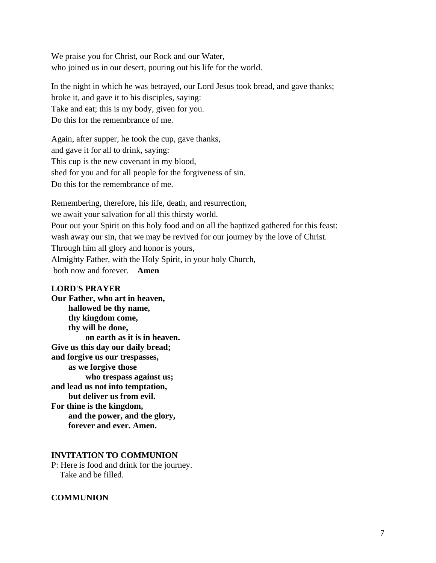We praise you for Christ, our Rock and our Water, who joined us in our desert, pouring out his life for the world.

In the night in which he was betrayed, our Lord Jesus took bread, and gave thanks; broke it, and gave it to his disciples, saying: Take and eat; this is my body, given for you. Do this for the remembrance of me.

Again, after supper, he took the cup, gave thanks, and gave it for all to drink, saying: This cup is the new covenant in my blood, shed for you and for all people for the forgiveness of sin. Do this for the remembrance of me.

Remembering, therefore, his life, death, and resurrection, we await your salvation for all this thirsty world. Pour out your Spirit on this holy food and on all the baptized gathered for this feast: wash away our sin, that we may be revived for our journey by the love of Christ. Through him all glory and honor is yours, Almighty Father, with the Holy Spirit, in your holy Church, both now and forever. **Amen**

#### **LORD'S PRAYER**

**Our Father, who art in heaven, hallowed be thy name, thy kingdom come, thy will be done, on earth as it is in heaven. Give us this day our daily bread; and forgive us our trespasses, as we forgive those who trespass against us; and lead us not into temptation, but deliver us from evil. For thine is the kingdom, and the power, and the glory, forever and ever. Amen.**

### **INVITATION TO COMMUNION**

P: Here is food and drink for the journey. Take and be filled.

### **COMMUNION**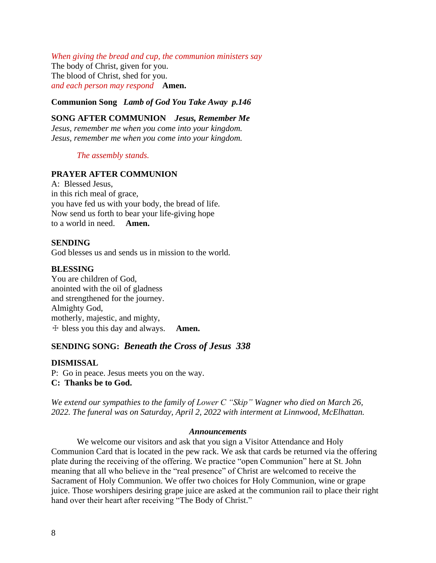*When giving the bread and cup, the communion ministers say* The body of Christ, given for you. The blood of Christ, shed for you. *and each person may respond* **Amen.**

**Communion Song** *Lamb of God You Take Away p.146*

**SONG AFTER COMMUNION** *Jesus, Remember Me Jesus, remember me when you come into your kingdom. Jesus, remember me when you come into your kingdom.*

#### *The assembly stands.*

### **PRAYER AFTER COMMUNION**

A: Blessed Jesus, in this rich meal of grace, you have fed us with your body, the bread of life. Now send us forth to bear your life-giving hope to a world in need. **Amen.**

#### **SENDING**

God blesses us and sends us in mission to the world.

#### **BLESSING**

You are children of God, anointed with the oil of gladness and strengthened for the journey. Almighty God, motherly, majestic, and mighty, ☩ bless you this day and always. **Amen.**

### **SENDING SONG:** *Beneath the Cross of Jesus 338*

## **DISMISSAL**

P: Go in peace. Jesus meets you on the way. **C: Thanks be to God.**

*We extend our sympathies to the family of Lower C "Skip" Wagner who died on March 26, 2022. The funeral was on Saturday, April 2, 2022 with interment at Linnwood, McElhattan.* 

#### *Announcements*

We welcome our visitors and ask that you sign a Visitor Attendance and Holy Communion Card that is located in the pew rack. We ask that cards be returned via the offering plate during the receiving of the offering. We practice "open Communion" here at St. John meaning that all who believe in the "real presence" of Christ are welcomed to receive the Sacrament of Holy Communion. We offer two choices for Holy Communion, wine or grape juice. Those worshipers desiring grape juice are asked at the communion rail to place their right hand over their heart after receiving "The Body of Christ."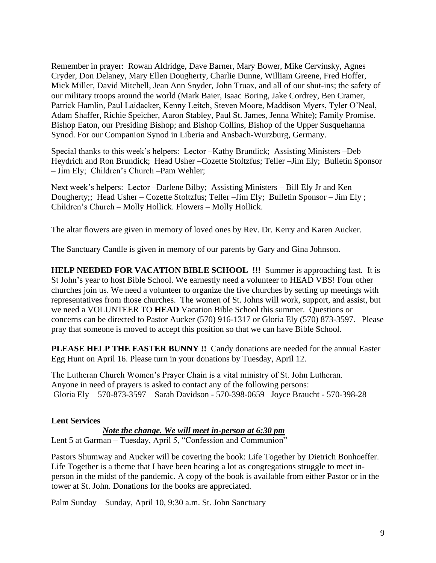Remember in prayer: Rowan Aldridge, Dave Barner, Mary Bower, Mike Cervinsky, Agnes Cryder, Don Delaney, Mary Ellen Dougherty, Charlie Dunne, William Greene, Fred Hoffer, Mick Miller, David Mitchell, Jean Ann Snyder, John Truax, and all of our shut-ins; the safety of our military troops around the world (Mark Baier, Isaac Boring, Jake Cordrey, Ben Cramer, Patrick Hamlin, Paul Laidacker, Kenny Leitch, Steven Moore, Maddison Myers, Tyler O'Neal, Adam Shaffer, Richie Speicher, Aaron Stabley, Paul St. James, Jenna White); Family Promise. Bishop Eaton, our Presiding Bishop; and Bishop Collins, Bishop of the Upper Susquehanna Synod. For our Companion Synod in Liberia and Ansbach-Wurzburg, Germany.

Special thanks to this week's helpers: Lector –Kathy Brundick; Assisting Ministers –Deb Heydrich and Ron Brundick; Head Usher –Cozette Stoltzfus; Teller –Jim Ely; Bulletin Sponsor – Jim Ely; Children's Church –Pam Wehler;

Next week's helpers: Lector –Darlene Bilby; Assisting Ministers – Bill Ely Jr and Ken Dougherty;; Head Usher – Cozette Stoltzfus; Teller –Jim Ely; Bulletin Sponsor – Jim Ely; Children's Church – Molly Hollick. Flowers – Molly Hollick.

The altar flowers are given in memory of loved ones by Rev. Dr. Kerry and Karen Aucker.

The Sanctuary Candle is given in memory of our parents by Gary and Gina Johnson.

**HELP NEEDED FOR VACATION BIBLE SCHOOL !!!** Summer is approaching fast. It is St John's year to host Bible School. We earnestly need a volunteer to HEAD VBS! Four other churches join us. We need a volunteer to organize the five churches by setting up meetings with representatives from those churches. The women of St. Johns will work, support, and assist, but we need a VOLUNTEER TO **HEAD** Vacation Bible School this summer. Questions or concerns can be directed to Pastor Aucker (570) 916-1317 or Gloria Ely (570) 873-3597. Please pray that someone is moved to accept this position so that we can have Bible School.

**PLEASE HELP THE EASTER BUNNY !!** Candy donations are needed for the annual Easter Egg Hunt on April 16. Please turn in your donations by Tuesday, April 12.

The Lutheran Church Women's Prayer Chain is a vital ministry of St. John Lutheran. Anyone in need of prayers is asked to contact any of the following persons: Gloria Ely – 570-873-3597 Sarah Davidson - 570-398-0659 Joyce Braucht - 570-398-28

# **Lent Services**

#### *Note the change. We will meet in-person at 6:30 pm*

Lent 5 at Garman – Tuesday, April 5, "Confession and Communion"

Pastors Shumway and Aucker will be covering the book: Life Together by Dietrich Bonhoeffer. Life Together is a theme that I have been hearing a lot as congregations struggle to meet inperson in the midst of the pandemic. A copy of the book is available from either Pastor or in the tower at St. John. Donations for the books are appreciated.

Palm Sunday – Sunday, April 10, 9:30 a.m. St. John Sanctuary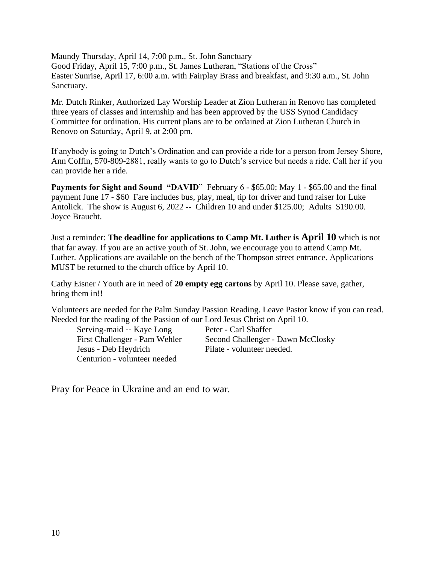Maundy Thursday, April 14, 7:00 p.m., St. John Sanctuary Good Friday, April 15, 7:00 p.m., St. James Lutheran, "Stations of the Cross" Easter Sunrise, April 17, 6:00 a.m. with Fairplay Brass and breakfast, and 9:30 a.m., St. John Sanctuary.

Mr. Dutch Rinker, Authorized Lay Worship Leader at Zion Lutheran in Renovo has completed three years of classes and internship and has been approved by the USS Synod Candidacy Committee for ordination. His current plans are to be ordained at Zion Lutheran Church in Renovo on Saturday, April 9, at 2:00 pm.

If anybody is going to Dutch's Ordination and can provide a ride for a person from Jersey Shore, Ann Coffin, 570-809-2881, really wants to go to Dutch's service but needs a ride. Call her if you can provide her a ride.

Payments for Sight and Sound "DAVID" February 6 - \$65.00; May 1 - \$65.00 and the final payment June 17 - \$60 Fare includes bus, play, meal, tip for driver and fund raiser for Luke Antolick. The show is August 6, 2022 **--** Children 10 and under \$125.00; Adults \$190.00. Joyce Braucht.

Just a reminder: **The deadline for applications to Camp Mt. Luther is April 10** which is not that far away. If you are an active youth of St. John, we encourage you to attend Camp Mt. Luther. Applications are available on the bench of the Thompson street entrance. Applications MUST be returned to the church office by April 10.

Cathy Eisner / Youth are in need of **20 empty egg cartons** by April 10. Please save, gather, bring them in!!

Volunteers are needed for the Palm Sunday Passion Reading. Leave Pastor know if you can read. Needed for the reading of the Passion of our Lord Jesus Christ on April 10.

Serving-maid -- Kaye Long Peter - Carl Shaffer Jesus - Deb Heydrich Pilate - volunteer needed. Centurion - volunteer needed

First Challenger - Pam Wehler Second Challenger - Dawn McClosky

Pray for Peace in Ukraine and an end to war.